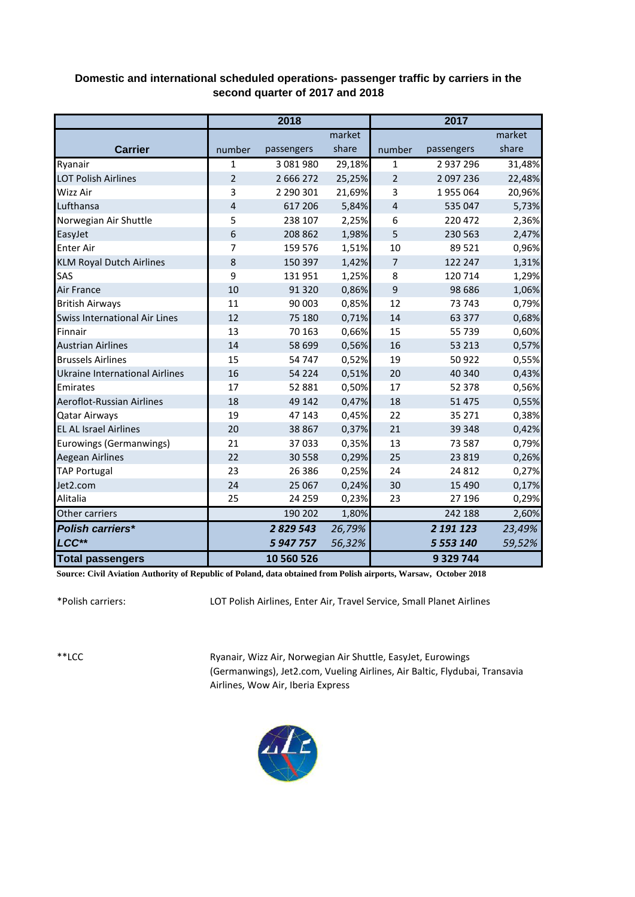## **Domestic and international scheduled operations- passenger traffic by carriers in the second quarter of 2017 and 2018**

|                                      |                | 2018        |        |                | 2017       |        |
|--------------------------------------|----------------|-------------|--------|----------------|------------|--------|
|                                      |                |             | market |                |            | market |
| <b>Carrier</b>                       | number         | passengers  | share  | number         | passengers | share  |
| Ryanair                              | 1              | 3 081 980   | 29,18% | $\mathbf{1}$   | 2937296    | 31,48% |
| <b>LOT Polish Airlines</b>           | $\overline{2}$ | 2 6 6 2 7 2 | 25,25% | $\overline{2}$ | 2 097 236  | 22,48% |
| Wizz Air                             | 3              | 2 290 301   | 21,69% | 3              | 1955064    | 20,96% |
| Lufthansa                            | $\overline{4}$ | 617 206     | 5,84%  | 4              | 535 047    | 5,73%  |
| Norwegian Air Shuttle                | 5              | 238 107     | 2,25%  | 6              | 220 472    | 2,36%  |
| EasyJet                              | 6              | 208 862     | 1,98%  | 5              | 230 563    | 2,47%  |
| <b>Enter Air</b>                     | 7              | 159 576     | 1,51%  | 10             | 89 5 21    | 0,96%  |
| <b>KLM Royal Dutch Airlines</b>      | 8              | 150 397     | 1,42%  | 7              | 122 247    | 1,31%  |
| SAS                                  | 9              | 131 951     | 1,25%  | 8              | 120 714    | 1,29%  |
| <b>Air France</b>                    | 10             | 91 3 20     | 0,86%  | 9              | 98 6 8 6   | 1,06%  |
| <b>British Airways</b>               | 11             | 90 003      | 0,85%  | 12             | 73 743     | 0,79%  |
| <b>Swiss International Air Lines</b> | 12             | 75 180      | 0,71%  | 14             | 63 377     | 0,68%  |
| Finnair                              | 13             | 70 163      | 0,66%  | 15             | 55 739     | 0,60%  |
| <b>Austrian Airlines</b>             | 14             | 58 699      | 0,56%  | 16             | 53 213     | 0,57%  |
| <b>Brussels Airlines</b>             | 15             | 54747       | 0,52%  | 19             | 50 922     | 0,55%  |
| Ukraine International Airlines       | 16             | 54 2 2 4    | 0,51%  | 20             | 40 340     | 0,43%  |
| Emirates                             | 17             | 52 881      | 0,50%  | 17             | 52 378     | 0,56%  |
| Aeroflot-Russian Airlines            | 18             | 49 142      | 0,47%  | 18             | 51 4 7 5   | 0,55%  |
| <b>Qatar Airways</b>                 | 19             | 47 143      | 0,45%  | 22             | 35 271     | 0,38%  |
| <b>EL AL Israel Airlines</b>         | 20             | 38 867      | 0,37%  | 21             | 39 348     | 0,42%  |
| Eurowings (Germanwings)              | 21             | 37033       | 0,35%  | 13             | 73 587     | 0,79%  |
| <b>Aegean Airlines</b>               | 22             | 30 558      | 0,29%  | 25             | 23 8 19    | 0,26%  |
| <b>TAP Portugal</b>                  | 23             | 26 38 6     | 0,25%  | 24             | 24 8 12    | 0,27%  |
| Jet2.com                             | 24             | 25 067      | 0,24%  | 30             | 15 4 90    | 0,17%  |
| Alitalia                             | 25             | 24 259      | 0,23%  | 23             | 27 196     | 0,29%  |
| Other carriers                       |                | 190 202     | 1,80%  |                | 242 188    | 2,60%  |
| <b>Polish carriers*</b>              |                | 2 829 543   | 26,79% |                | 2 191 123  | 23,49% |
| LCC**                                |                | 5 947 757   | 56,32% |                | 5 553 140  | 59,52% |
| <b>Total passengers</b>              |                | 10 560 526  |        |                | 9 329 744  |        |

**Source: Civil Aviation Authority of Republic of Poland, data obtained from Polish airports, Warsaw, October 2018**

\*Polish carriers:

LOT Polish Airlines, Enter Air, Travel Service, Small Planet Airlines

\*\*LCC

Ryanair, Wizz Air, Norwegian Air Shuttle, EasyJet, Eurowings (Germanwings), Jet2.com, Vueling Airlines, Air Baltic, Flydubai, Transavia Airlines, Wow Air, Iberia Express